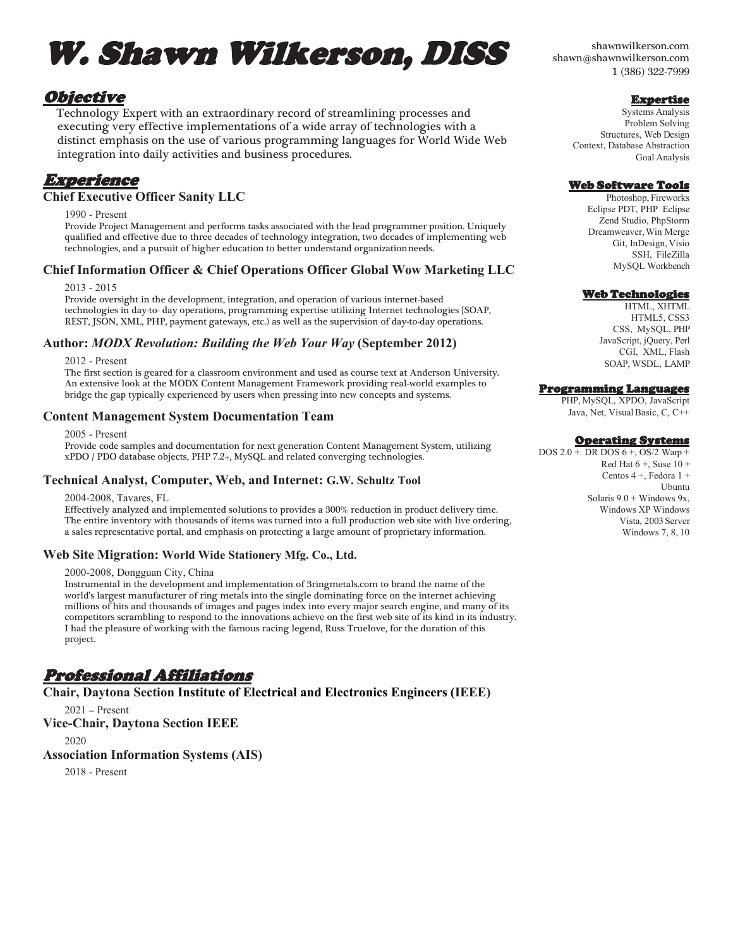# W. Shawn Wilkerson, DISS

# Objective

Technology Expert with an extraordinary record of streamlining processes and executing very effective implementations of a wide array of technologies with a distinct emphasis on the use of various programming languages for World Wide Web integration into daily activities and business procedures.

# Experience

#### **Chief Executive Officer Sanity LLC**

1990 - Present

Provide Project Management and performs tasks associated with the lead programmer position. Uniquely qualified and effective due to three decades of technology integration, two decades of implementing web technologies, and a pursuit of higher education to better understand organizationneeds.

## **Chief Information Officer & Chief Operations Officer Global Wow Marketing LLC**

2013 - 2015

Provide oversight in the development, integration, and operation of various internet-based technologies in day-to- day operations, programming expertise utilizing Internet technologies {SOAP, REST, JSON, XML, PHP, payment gateways, etc.) as well as the supervision of day-to-day operations.

## **Author:** *MODX Revolution: Building the Web Your Way* **(September 2012)**

2012 - Present

The first section is geared for a classroom environment and used as course text at Anderson University. An extensive look at the MODX Content Management Framework providing real-world examples to bridge the gap typically experienced by users when pressing into new concepts and systems.

#### **Content Management System Documentation Team**

2005 - Present

Provide code samples and documentation for next generation Content Management System, utilizing xPDO / PDO database objects, PHP 7.2+, MySQL and related converging technologies.

#### **Technical Analyst, Computer, Web, and Internet: G.W. Schultz Tool**

2004-2008, Tavares, FL

Effectively analyzed and implemented solutions to provides a 300% reduction in product delivery time. The entire inventory with thousands of items was turned into a full production web site with live ordering, a sales representative portal, and emphasis on protecting a large amount of proprietary information.

#### **Web Site Migration: World Wide Stationery Mfg. Co., Ltd.**

2000-2008, Dongguan City, China

Instrumental in the development and implementation of 3ringmetals.com to brand the name of the world's largest manufacturer of ring metals into the single dominating force on the internet achieving millions of hits and thousands of images and pages index into every major search engine, and many of its competitors scrambling to respond to the innovations achieve on the first web site of its kind in its industry. I had the pleasure of working with the famous racing legend, Russ Truelove, for the duration of this project.

# Professional Affiliations

## **Chair, Daytona Section Institute of Electrical and Electronics Engineers (IEEE)**

2021 – Present **Vice-Chair, Daytona Section IEEE**

2020

# **Association Information Systems (AIS)**

2018 - Present

shawnwilkerson.com [shawn@shawnwilkerson.com](mailto:shawn@shawnwilkerson.com) 1 (386) 322-7999

## **Expertise**

Systems Analysis Problem Solving Structures, Web Design Context, Database Abstraction Goal Analysis

## Web Software Tools

Photoshop, Fireworks Eclipse PDT, PHP Eclipse Zend Studio, PhpStorm Dreamweaver,Win Merge Git, InDesign, Visio SSH, FileZilla MySQL Workbench

## Web Technologies

HTML, XHTML HTML5, CSS3 CSS, MySQL, PHP JavaScript, jQuery, Perl CGI, XML, Flash SOAP, WSDL, LAMP

## Programming Languages

PHP, MySQL, XPDO, JavaScript Java, Net, Visual Basic, C, C++

## Operating Systems

DOS 2.0 +. DR DOS 6 +, OS/2 Warp + Red Hat  $6 +$ , Suse  $10 +$ Centos 4 +, Fedora 1 + Ubuntu Solaris  $9.0 +$  Windows  $9x$ , Windows XP Windows Vista, 2003 Server Windows 7, 8, 10